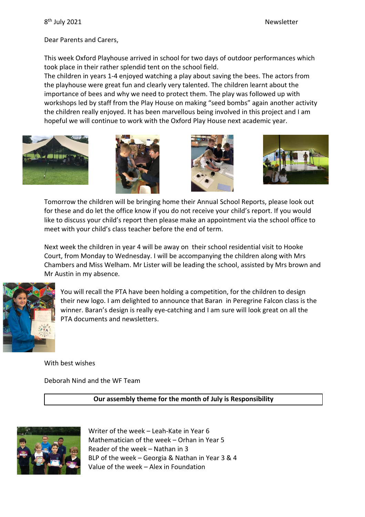Dear Parents and Carers,

This week Oxford Playhouse arrived in school for two days of outdoor performances which took place in their rather splendid tent on the school field.

The children in years 1-4 enjoyed watching a play about saving the bees. The actors from the playhouse were great fun and clearly very talented. The children learnt about the importance of bees and why we need to protect them. The play was followed up with workshops led by staff from the Play House on making "seed bombs" again another activity the children really enjoyed. It has been marvellous being involved in this project and I am hopeful we will continue to work with the Oxford Play House next academic year.









Tomorrow the children will be bringing home their Annual School Reports, please look out for these and do let the office know if you do not receive your child's report. If you would like to discuss your child's report then please make an appointment via the school office to meet with your child's class teacher before the end of term.

Next week the children in year 4 will be away on their school residential visit to Hooke Court, from Monday to Wednesday. I will be accompanying the children along with Mrs Chambers and Miss Welham. Mr Lister will be leading the school, assisted by Mrs brown and Mr Austin in my absence.



You will recall the PTA have been holding a competition, for the children to design their new logo. I am delighted to announce that Baran in Peregrine Falcon class is the winner. Baran's design is really eye-catching and I am sure will look great on all the PTA documents and newsletters.

With best wishes

Deborah Nind and the WF Team

**Our assembly theme for the month of July is Responsibility**



Writer of the week – Leah-Kate in Year 6 Mathematician of the week – Orhan in Year 5 Reader of the week – Nathan in 3 BLP of the week – Georgia & Nathan in Year 3 & 4 Value of the week – Alex in Foundation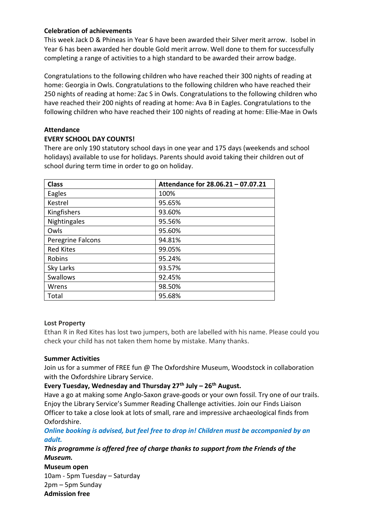## **Celebration of achievements**

This week Jack D & Phineas in Year 6 have been awarded their Silver merit arrow. Isobel in Year 6 has been awarded her double Gold merit arrow. Well done to them for successfully completing a range of activities to a high standard to be awarded their arrow badge.

Congratulations to the following children who have reached their 300 nights of reading at home: Georgia in Owls. Congratulations to the following children who have reached their 250 nights of reading at home: Zac S in Owls. Congratulations to the following children who have reached their 200 nights of reading at home: Ava B in Eagles. Congratulations to the following children who have reached their 100 nights of reading at home: Ellie-Mae in Owls

## **Attendance**

## **EVERY SCHOOL DAY COUNTS!**

There are only 190 statutory school days in one year and 175 days (weekends and school holidays) available to use for holidays. Parents should avoid taking their children out of school during term time in order to go on holiday.

| <b>Class</b>      | Attendance for 28.06.21 - 07.07.21 |
|-------------------|------------------------------------|
|                   |                                    |
| Eagles            | 100%                               |
| Kestrel           | 95.65%                             |
| Kingfishers       | 93.60%                             |
| Nightingales      | 95.56%                             |
| Owls              | 95.60%                             |
| Peregrine Falcons | 94.81%                             |
| <b>Red Kites</b>  | 99.05%                             |
| Robins            | 95.24%                             |
| Sky Larks         | 93.57%                             |
| <b>Swallows</b>   | 92.45%                             |
| Wrens             | 98.50%                             |
| Total             | 95.68%                             |

## **Lost Property**

Ethan R in Red Kites has lost two jumpers, both are labelled with his name. Please could you check your child has not taken them home by mistake. Many thanks.

## **Summer Activities**

Join us for a summer of FREE fun @ The Oxfordshire Museum, Woodstock in collaboration with the Oxfordshire Library Service.

## **Every Tuesday, Wednesday and Thursday 27th July – 26th August.**

Have a go at making some Anglo-Saxon grave-goods or your own fossil. Try one of our trails. Enjoy the Library Service's Summer Reading Challenge activities. Join our Finds Liaison Officer to take a close look at lots of small, rare and impressive archaeological finds from Oxfordshire.

## *Online booking is advised, but feel free to drop in! Children must be accompanied by an adult.*

*This programme is offered free of charge thanks to support from the Friends of the Museum.*

**Museum open**  10am - 5pm Tuesday – Saturday 2pm – 5pm Sunday **Admission free**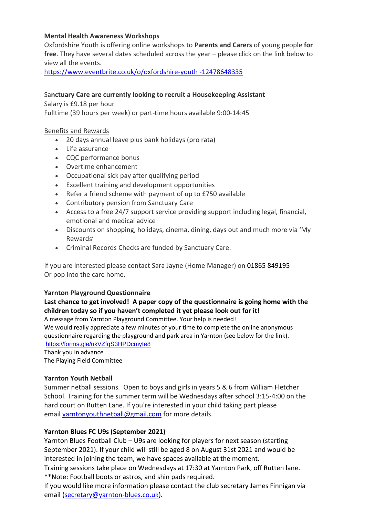#### **Mental Health Awareness Workshops**

Oxfordshire Youth is offering online workshops to **Parents and Carers** of young people **for free**. They have several dates scheduled across the year – please click on the link below to view all the events.

[https://www.eventbrite.co.uk/o/oxfordshire-youth -12478648335](https://www.eventbrite.co.uk/o/oxfordshire-youth%20-12478648335)

#### Sa**nctuary Care are currently looking to recruit a Housekeeping Assistant**

Salary is £9.18 per hour

Fulltime (39 hours per week) or part-time hours available 9:00-14:45

#### Benefits and Rewards

- 20 days annual leave plus bank holidays (pro rata)
- Life assurance
- CQC performance bonus
- Overtime enhancement
- Occupational sick pay after qualifying period
- Excellent training and development opportunities
- Refer a friend scheme with payment of up to £750 available
- Contributory pension from Sanctuary Care
- Access to a free 24/7 support service providing support including legal, financial, emotional and medical advice
- Discounts on shopping, holidays, cinema, dining, days out and much more via 'My Rewards'
- Criminal Records Checks are funded by Sanctuary Care.

If you are Interested please contact Sara Jayne (Home Manager) on 01865 849195 Or pop into the care home.

#### **Yarnton Playground Questionnaire**

## **Last chance to get involved! A paper copy of the questionnaire is going home with the children today so if you haven't completed it yet please look out for it!**

A message from Yarnton Playground Committee. Your help is needed! We would really appreciate a few minutes of your time to complete the online anonymous questionnaire regarding the playground and park area in Yarnton (see below for the link). <https://forms.gle/ukVZfqS3HPDcmyte8>

Thank you in advance The Playing Field Committee

#### **Yarnton Youth Netball**

Summer netball sessions. Open to boys and girls in years 5 & 6 from William Fletcher School. Training for the summer term will be Wednesdays after school 3:15-4:00 on the hard court on Rutten Lane. If you're interested in your child taking part please email [yarntonyouthnetball@gmail.com](mailto:yarntonyouthnetball@gmail.com) for more details.

#### **Yarnton Blues FC U9s (September 2021)**

Yarnton Blues Football Club – U9s are looking for players for next season (starting September 2021). If your child will still be aged 8 on August 31st 2021 and would be interested in joining the team, we have spaces available at the moment.

Training sessions take place on Wednesdays at 17:30 at Yarnton Park, off Rutten lane. \*\*Note: Football boots or astros, and shin pads required.

If you would like more information please contact the club secretary James Finnigan via email [\(secretary@yarnton-blues.co.uk\)](mailto:secretary@yarnton-blues.co.uk).